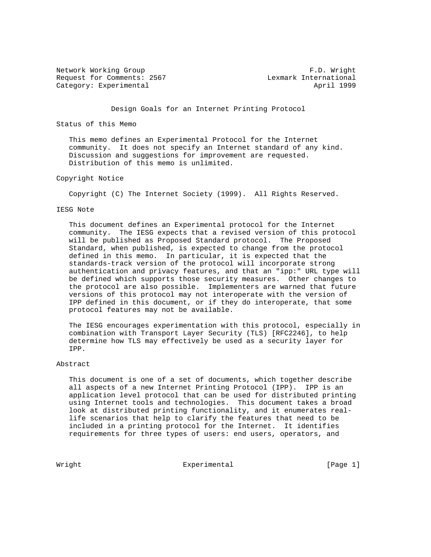Network Working Group **F.D. Wright** Request for Comments: 2567 Lexmark International Category: Experimental April 1999

Design Goals for an Internet Printing Protocol

Status of this Memo

 This memo defines an Experimental Protocol for the Internet community. It does not specify an Internet standard of any kind. Discussion and suggestions for improvement are requested. Distribution of this memo is unlimited.

## Copyright Notice

Copyright (C) The Internet Society (1999). All Rights Reserved.

### IESG Note

 This document defines an Experimental protocol for the Internet community. The IESG expects that a revised version of this protocol will be published as Proposed Standard protocol. The Proposed Standard, when published, is expected to change from the protocol defined in this memo. In particular, it is expected that the standards-track version of the protocol will incorporate strong authentication and privacy features, and that an "ipp:" URL type will be defined which supports those security measures. Other changes to the protocol are also possible. Implementers are warned that future versions of this protocol may not interoperate with the version of IPP defined in this document, or if they do interoperate, that some protocol features may not be available.

 The IESG encourages experimentation with this protocol, especially in combination with Transport Layer Security (TLS) [RFC2246], to help determine how TLS may effectively be used as a security layer for IPP.

## Abstract

 This document is one of a set of documents, which together describe all aspects of a new Internet Printing Protocol (IPP). IPP is an application level protocol that can be used for distributed printing using Internet tools and technologies. This document takes a broad look at distributed printing functionality, and it enumerates real life scenarios that help to clarify the features that need to be included in a printing protocol for the Internet. It identifies requirements for three types of users: end users, operators, and

Wright Experimental Experimental [Page 1]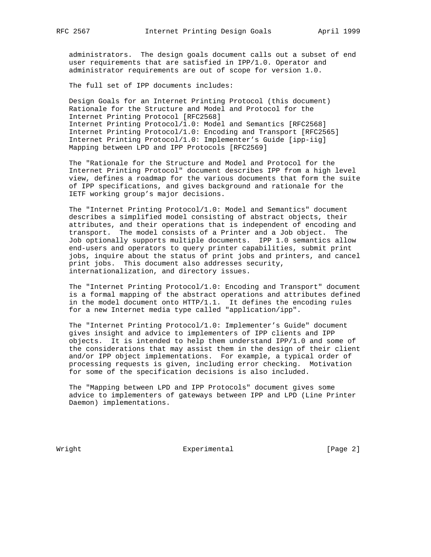administrators. The design goals document calls out a subset of end user requirements that are satisfied in IPP/1.0. Operator and administrator requirements are out of scope for version 1.0.

The full set of IPP documents includes:

 Design Goals for an Internet Printing Protocol (this document) Rationale for the Structure and Model and Protocol for the Internet Printing Protocol [RFC2568] Internet Printing Protocol/1.0: Model and Semantics [RFC2568] Internet Printing Protocol/1.0: Encoding and Transport [RFC2565] Internet Printing Protocol/1.0: Implementer's Guide [ipp-iig] Mapping between LPD and IPP Protocols [RFC2569]

 The "Rationale for the Structure and Model and Protocol for the Internet Printing Protocol" document describes IPP from a high level view, defines a roadmap for the various documents that form the suite of IPP specifications, and gives background and rationale for the IETF working group's major decisions.

 The "Internet Printing Protocol/1.0: Model and Semantics" document describes a simplified model consisting of abstract objects, their attributes, and their operations that is independent of encoding and transport. The model consists of a Printer and a Job object. The Job optionally supports multiple documents. IPP 1.0 semantics allow end-users and operators to query printer capabilities, submit print jobs, inquire about the status of print jobs and printers, and cancel print jobs. This document also addresses security, internationalization, and directory issues.

 The "Internet Printing Protocol/1.0: Encoding and Transport" document is a formal mapping of the abstract operations and attributes defined in the model document onto HTTP/1.1. It defines the encoding rules for a new Internet media type called "application/ipp".

 The "Internet Printing Protocol/1.0: Implementer's Guide" document gives insight and advice to implementers of IPP clients and IPP objects. It is intended to help them understand IPP/1.0 and some of the considerations that may assist them in the design of their client and/or IPP object implementations. For example, a typical order of processing requests is given, including error checking. Motivation for some of the specification decisions is also included.

 The "Mapping between LPD and IPP Protocols" document gives some advice to implementers of gateways between IPP and LPD (Line Printer Daemon) implementations.

Wright **Experimental** Experimental [Page 2]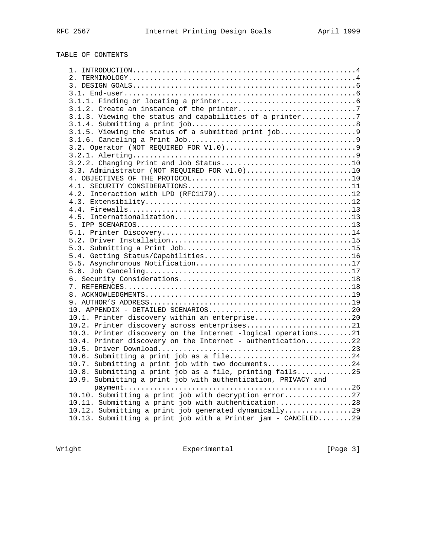# TABLE OF CONTENTS

| 3.1.2. Create an instance of the printer7                                                                     |  |
|---------------------------------------------------------------------------------------------------------------|--|
| 3.1.3. Viewing the status and capabilities of a printer7                                                      |  |
|                                                                                                               |  |
| 3.1.5. Viewing the status of a submitted print job9                                                           |  |
|                                                                                                               |  |
|                                                                                                               |  |
|                                                                                                               |  |
|                                                                                                               |  |
| 3.3. Administrator (NOT REQUIRED FOR v1.0)10                                                                  |  |
|                                                                                                               |  |
|                                                                                                               |  |
| 4.2. Interaction with LPD (RFC1179)12                                                                         |  |
|                                                                                                               |  |
|                                                                                                               |  |
|                                                                                                               |  |
|                                                                                                               |  |
|                                                                                                               |  |
|                                                                                                               |  |
|                                                                                                               |  |
|                                                                                                               |  |
|                                                                                                               |  |
|                                                                                                               |  |
|                                                                                                               |  |
|                                                                                                               |  |
|                                                                                                               |  |
|                                                                                                               |  |
|                                                                                                               |  |
| 10.1. Printer discovery within an enterprise20                                                                |  |
|                                                                                                               |  |
| 10.2. Printer discovery across enterprises21<br>10.3. Printer discovery on the Internet -logical operations21 |  |
| 10.4. Printer discovery on the Internet - authentication22                                                    |  |
|                                                                                                               |  |
|                                                                                                               |  |
| 10.6. Submitting a print job as a file24                                                                      |  |
| 10.7. Submitting a print job with two documents24                                                             |  |
| 10.8. Submitting a print job as a file, printing fails25                                                      |  |
| 10.9. Submitting a print job with authentication, PRIVACY and                                                 |  |
|                                                                                                               |  |
| 10.10. Submitting a print job with decryption error27                                                         |  |
| 10.11. Submitting a print job with authentication28                                                           |  |
| 10.12. Submitting a print job generated dynamically29                                                         |  |
| 10.13. Submitting a print job with a Printer jam - CANCELED29                                                 |  |
|                                                                                                               |  |

Wright Experimental Experimental [Page 3]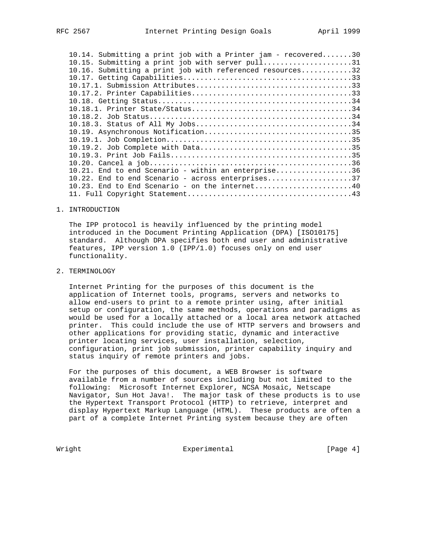| 10.14. Submitting a print job with a Printer jam - recovered30<br>10.15. Submitting a print job with server pull31 |  |
|--------------------------------------------------------------------------------------------------------------------|--|
| 10.16. Submitting a print job with referenced resources32                                                          |  |
|                                                                                                                    |  |
|                                                                                                                    |  |
|                                                                                                                    |  |
|                                                                                                                    |  |
|                                                                                                                    |  |
|                                                                                                                    |  |
|                                                                                                                    |  |
|                                                                                                                    |  |
|                                                                                                                    |  |
|                                                                                                                    |  |
|                                                                                                                    |  |
|                                                                                                                    |  |
| 10.21. End to end Scenario - within an enterprise36                                                                |  |
| 10.22. End to end Scenario - across enterprises37                                                                  |  |
| $10.23$ . End to End Scenario - on the internet40                                                                  |  |
|                                                                                                                    |  |

### 1. INTRODUCTION

 The IPP protocol is heavily influenced by the printing model introduced in the Document Printing Application (DPA) [ISO10175] standard. Although DPA specifies both end user and administrative features, IPP version 1.0 (IPP/1.0) focuses only on end user functionality.

# 2. TERMINOLOGY

 Internet Printing for the purposes of this document is the application of Internet tools, programs, servers and networks to allow end-users to print to a remote printer using, after initial setup or configuration, the same methods, operations and paradigms as would be used for a locally attached or a local area network attached printer. This could include the use of HTTP servers and browsers and other applications for providing static, dynamic and interactive printer locating services, user installation, selection, configuration, print job submission, printer capability inquiry and status inquiry of remote printers and jobs.

 For the purposes of this document, a WEB Browser is software available from a number of sources including but not limited to the following: Microsoft Internet Explorer, NCSA Mosaic, Netscape Navigator, Sun Hot Java!. The major task of these products is to use the Hypertext Transport Protocol (HTTP) to retrieve, interpret and display Hypertext Markup Language (HTML). These products are often a part of a complete Internet Printing system because they are often

Wright **Experimental** Experimental [Page 4]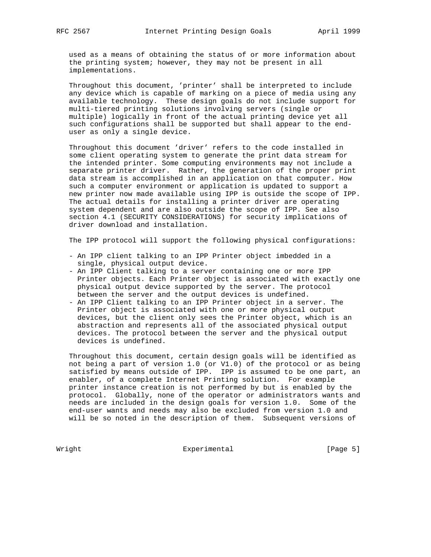used as a means of obtaining the status of or more information about the printing system; however, they may not be present in all implementations.

 Throughout this document, 'printer' shall be interpreted to include any device which is capable of marking on a piece of media using any available technology. These design goals do not include support for multi-tiered printing solutions involving servers (single or multiple) logically in front of the actual printing device yet all such configurations shall be supported but shall appear to the end user as only a single device.

 Throughout this document 'driver' refers to the code installed in some client operating system to generate the print data stream for the intended printer. Some computing environments may not include a separate printer driver. Rather, the generation of the proper print data stream is accomplished in an application on that computer. How such a computer environment or application is updated to support a new printer now made available using IPP is outside the scope of IPP. The actual details for installing a printer driver are operating system dependent and are also outside the scope of IPP. See also section 4.1 (SECURITY CONSIDERATIONS) for security implications of driver download and installation.

The IPP protocol will support the following physical configurations:

- An IPP client talking to an IPP Printer object imbedded in a single, physical output device.
- An IPP Client talking to a server containing one or more IPP Printer objects. Each Printer object is associated with exactly one physical output device supported by the server. The protocol between the server and the output devices is undefined.
- An IPP Client talking to an IPP Printer object in a server. The Printer object is associated with one or more physical output devices, but the client only sees the Printer object, which is an abstraction and represents all of the associated physical output devices. The protocol between the server and the physical output devices is undefined.

 Throughout this document, certain design goals will be identified as not being a part of version 1.0 (or V1.0) of the protocol or as being satisfied by means outside of IPP. IPP is assumed to be one part, an enabler, of a complete Internet Printing solution. For example printer instance creation is not performed by but is enabled by the protocol. Globally, none of the operator or administrators wants and needs are included in the design goals for version 1.0. Some of the end-user wants and needs may also be excluded from version 1.0 and will be so noted in the description of them. Subsequent versions of

Wright **Experimental** Experimental [Page 5]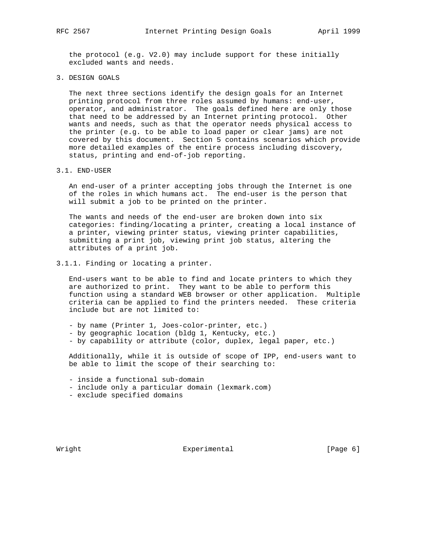the protocol (e.g. V2.0) may include support for these initially excluded wants and needs.

3. DESIGN GOALS

 The next three sections identify the design goals for an Internet printing protocol from three roles assumed by humans: end-user, operator, and administrator. The goals defined here are only those that need to be addressed by an Internet printing protocol. Other wants and needs, such as that the operator needs physical access to the printer (e.g. to be able to load paper or clear jams) are not covered by this document. Section 5 contains scenarios which provide more detailed examples of the entire process including discovery, status, printing and end-of-job reporting.

### 3.1. END-USER

 An end-user of a printer accepting jobs through the Internet is one of the roles in which humans act. The end-user is the person that will submit a job to be printed on the printer.

 The wants and needs of the end-user are broken down into six categories: finding/locating a printer, creating a local instance of a printer, viewing printer status, viewing printer capabilities, submitting a print job, viewing print job status, altering the attributes of a print job.

3.1.1. Finding or locating a printer.

 End-users want to be able to find and locate printers to which they are authorized to print. They want to be able to perform this function using a standard WEB browser or other application. Multiple criteria can be applied to find the printers needed. These criteria include but are not limited to:

- by name (Printer 1, Joes-color-printer, etc.)
- by geographic location (bldg 1, Kentucky, etc.)
- by capability or attribute (color, duplex, legal paper, etc.)

 Additionally, while it is outside of scope of IPP, end-users want to be able to limit the scope of their searching to:

- inside a functional sub-domain
- include only a particular domain (lexmark.com)
- exclude specified domains

Wright **Experimental** Experimental [Page 6]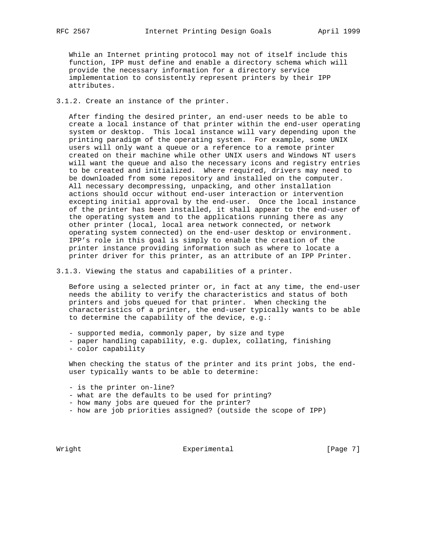While an Internet printing protocol may not of itself include this function, IPP must define and enable a directory schema which will provide the necessary information for a directory service implementation to consistently represent printers by their IPP attributes.

3.1.2. Create an instance of the printer.

 After finding the desired printer, an end-user needs to be able to create a local instance of that printer within the end-user operating system or desktop. This local instance will vary depending upon the printing paradigm of the operating system. For example, some UNIX users will only want a queue or a reference to a remote printer created on their machine while other UNIX users and Windows NT users will want the queue and also the necessary icons and registry entries to be created and initialized. Where required, drivers may need to be downloaded from some repository and installed on the computer. All necessary decompressing, unpacking, and other installation actions should occur without end-user interaction or intervention excepting initial approval by the end-user. Once the local instance of the printer has been installed, it shall appear to the end-user of the operating system and to the applications running there as any other printer (local, local area network connected, or network operating system connected) on the end-user desktop or environment. IPP's role in this goal is simply to enable the creation of the printer instance providing information such as where to locate a printer driver for this printer, as an attribute of an IPP Printer.

3.1.3. Viewing the status and capabilities of a printer.

 Before using a selected printer or, in fact at any time, the end-user needs the ability to verify the characteristics and status of both printers and jobs queued for that printer. When checking the characteristics of a printer, the end-user typically wants to be able to determine the capability of the device, e.g.:

- supported media, commonly paper, by size and type

 - paper handling capability, e.g. duplex, collating, finishing - color capability

When checking the status of the printer and its print jobs, the enduser typically wants to be able to determine:

- is the printer on-line?

- what are the defaults to be used for printing?
- how many jobs are queued for the printer?
- how are job priorities assigned? (outside the scope of IPP)

Wright **Experimental** Experimental [Page 7]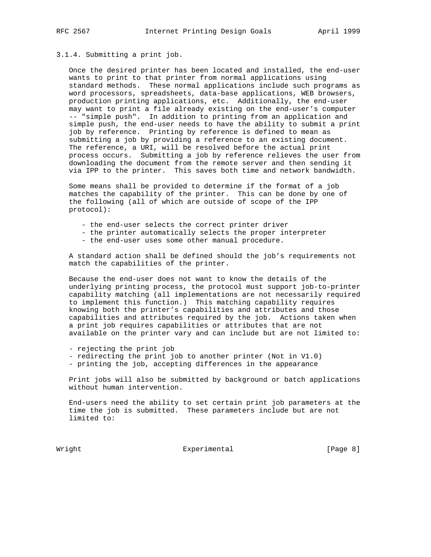### 3.1.4. Submitting a print job.

 Once the desired printer has been located and installed, the end-user wants to print to that printer from normal applications using standard methods. These normal applications include such programs as word processors, spreadsheets, data-base applications, WEB browsers, production printing applications, etc. Additionally, the end-user may want to print a file already existing on the end-user's computer -- "simple push". In addition to printing from an application and simple push, the end-user needs to have the ability to submit a print job by reference. Printing by reference is defined to mean as submitting a job by providing a reference to an existing document. The reference, a URI, will be resolved before the actual print process occurs. Submitting a job by reference relieves the user from downloading the document from the remote server and then sending it via IPP to the printer. This saves both time and network bandwidth.

 Some means shall be provided to determine if the format of a job matches the capability of the printer. This can be done by one of the following (all of which are outside of scope of the IPP protocol):

- the end-user selects the correct printer driver
- the printer automatically selects the proper interpreter
- the end-user uses some other manual procedure.

 A standard action shall be defined should the job's requirements not match the capabilities of the printer.

 Because the end-user does not want to know the details of the underlying printing process, the protocol must support job-to-printer capability matching (all implementations are not necessarily required to implement this function.) This matching capability requires knowing both the printer's capabilities and attributes and those capabilities and attributes required by the job. Actions taken when a print job requires capabilities or attributes that are not available on the printer vary and can include but are not limited to:

- rejecting the print job
- redirecting the print job to another printer (Not in V1.0)
- printing the job, accepting differences in the appearance

 Print jobs will also be submitted by background or batch applications without human intervention.

 End-users need the ability to set certain print job parameters at the time the job is submitted. These parameters include but are not limited to:

Wright **Experimental** Experimental [Page 8]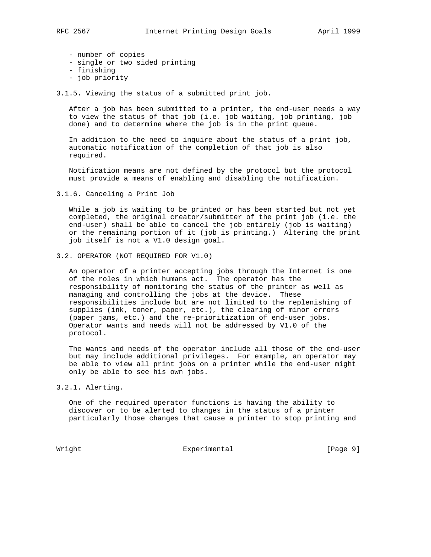- number of copies
- single or two sided printing
- finishing
- job priority

3.1.5. Viewing the status of a submitted print job.

 After a job has been submitted to a printer, the end-user needs a way to view the status of that job (i.e. job waiting, job printing, job done) and to determine where the job is in the print queue.

 In addition to the need to inquire about the status of a print job, automatic notification of the completion of that job is also required.

 Notification means are not defined by the protocol but the protocol must provide a means of enabling and disabling the notification.

3.1.6. Canceling a Print Job

 While a job is waiting to be printed or has been started but not yet completed, the original creator/submitter of the print job (i.e. the end-user) shall be able to cancel the job entirely (job is waiting) or the remaining portion of it (job is printing.) Altering the print job itself is not a V1.0 design goal.

3.2. OPERATOR (NOT REQUIRED FOR V1.0)

 An operator of a printer accepting jobs through the Internet is one of the roles in which humans act. The operator has the responsibility of monitoring the status of the printer as well as managing and controlling the jobs at the device. These responsibilities include but are not limited to the replenishing of supplies (ink, toner, paper, etc.), the clearing of minor errors (paper jams, etc.) and the re-prioritization of end-user jobs. Operator wants and needs will not be addressed by V1.0 of the protocol.

 The wants and needs of the operator include all those of the end-user but may include additional privileges. For example, an operator may be able to view all print jobs on a printer while the end-user might only be able to see his own jobs.

3.2.1. Alerting.

 One of the required operator functions is having the ability to discover or to be alerted to changes in the status of a printer particularly those changes that cause a printer to stop printing and

Wright **Experimental** Experimental [Page 9]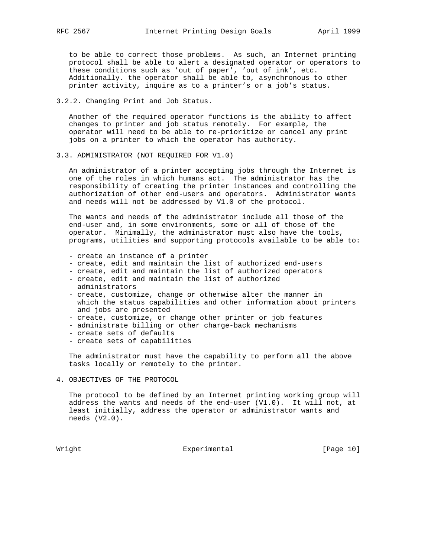to be able to correct those problems. As such, an Internet printing protocol shall be able to alert a designated operator or operators to these conditions such as 'out of paper', 'out of ink', etc. Additionally. the operator shall be able to, asynchronous to other printer activity, inquire as to a printer's or a job's status.

3.2.2. Changing Print and Job Status.

 Another of the required operator functions is the ability to affect changes to printer and job status remotely. For example, the operator will need to be able to re-prioritize or cancel any print jobs on a printer to which the operator has authority.

3.3. ADMINISTRATOR (NOT REQUIRED FOR V1.0)

 An administrator of a printer accepting jobs through the Internet is one of the roles in which humans act. The administrator has the responsibility of creating the printer instances and controlling the authorization of other end-users and operators. Administrator wants and needs will not be addressed by V1.0 of the protocol.

 The wants and needs of the administrator include all those of the end-user and, in some environments, some or all of those of the operator. Minimally, the administrator must also have the tools, programs, utilities and supporting protocols available to be able to:

- create an instance of a printer
- create, edit and maintain the list of authorized end-users
- create, edit and maintain the list of authorized operators
- create, edit and maintain the list of authorized administrators
- create, customize, change or otherwise alter the manner in which the status capabilities and other information about printers and jobs are presented
- create, customize, or change other printer or job features
- administrate billing or other charge-back mechanisms
- create sets of defaults
- create sets of capabilities

 The administrator must have the capability to perform all the above tasks locally or remotely to the printer.

4. OBJECTIVES OF THE PROTOCOL

 The protocol to be defined by an Internet printing working group will address the wants and needs of the end-user (V1.0). It will not, at least initially, address the operator or administrator wants and needs (V2.0).

Wright Experimental Experimental [Page 10]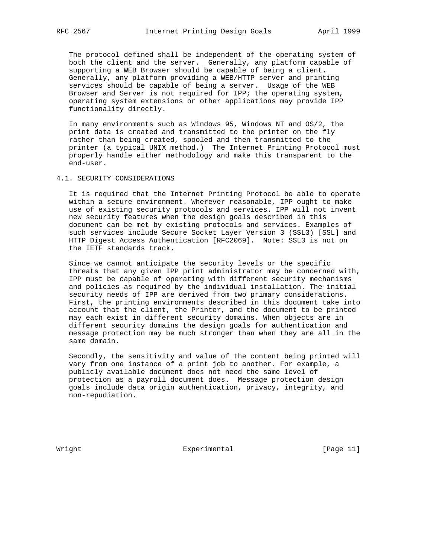The protocol defined shall be independent of the operating system of both the client and the server. Generally, any platform capable of supporting a WEB Browser should be capable of being a client. Generally, any platform providing a WEB/HTTP server and printing services should be capable of being a server. Usage of the WEB Browser and Server is not required for IPP; the operating system, operating system extensions or other applications may provide IPP functionality directly.

 In many environments such as Windows 95, Windows NT and OS/2, the print data is created and transmitted to the printer on the fly rather than being created, spooled and then transmitted to the printer (a typical UNIX method.) The Internet Printing Protocol must properly handle either methodology and make this transparent to the end-user.

### 4.1. SECURITY CONSIDERATIONS

 It is required that the Internet Printing Protocol be able to operate within a secure environment. Wherever reasonable, IPP ought to make use of existing security protocols and services. IPP will not invent new security features when the design goals described in this document can be met by existing protocols and services. Examples of such services include Secure Socket Layer Version 3 (SSL3) [SSL] and HTTP Digest Access Authentication [RFC2069]. Note: SSL3 is not on the IETF standards track.

 Since we cannot anticipate the security levels or the specific threats that any given IPP print administrator may be concerned with, IPP must be capable of operating with different security mechanisms and policies as required by the individual installation. The initial security needs of IPP are derived from two primary considerations. First, the printing environments described in this document take into account that the client, the Printer, and the document to be printed may each exist in different security domains. When objects are in different security domains the design goals for authentication and message protection may be much stronger than when they are all in the same domain.

 Secondly, the sensitivity and value of the content being printed will vary from one instance of a print job to another. For example, a publicly available document does not need the same level of protection as a payroll document does. Message protection design goals include data origin authentication, privacy, integrity, and non-repudiation.

Wright **Experimental** Experimental [Page 11]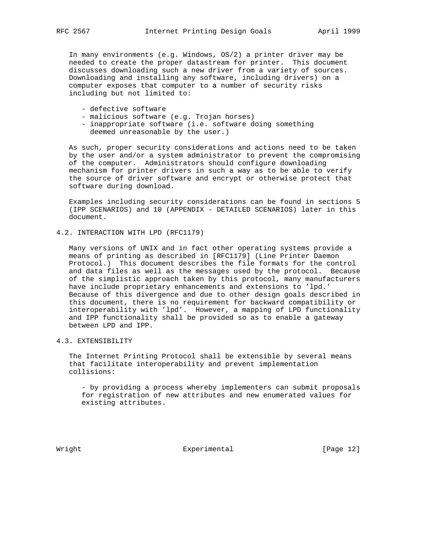In many environments (e.g. Windows, OS/2) a printer driver may be needed to create the proper datastream for printer. This document discusses downloading such a new driver from a variety of sources. Downloading and installing any software, including drivers) on a computer exposes that computer to a number of security risks including but not limited to:

- defective software
- malicious software (e.g. Trojan horses)
- inappropriate software (i.e. software doing something deemed unreasonable by the user.)

 As such, proper security considerations and actions need to be taken by the user and/or a system administrator to prevent the compromising of the computer. Administrators should configure downloading mechanism for printer drivers in such a way as to be able to verify the source of driver software and encrypt or otherwise protect that software during download.

 Examples including security considerations can be found in sections 5 (IPP SCENARIOS) and 10 (APPENDIX - DETAILED SCENARIOS) later in this document.

4.2. INTERACTION WITH LPD (RFC1179)

 Many versions of UNIX and in fact other operating systems provide a means of printing as described in [RFC1179] (Line Printer Daemon Protocol.) This document describes the file formats for the control and data files as well as the messages used by the protocol. Because of the simplistic approach taken by this protocol, many manufacturers have include proprietary enhancements and extensions to 'lpd.' Because of this divergence and due to other design goals described in this document, there is no requirement for backward compatibility or interoperability with 'lpd'. However, a mapping of LPD functionality and IPP functionality shall be provided so as to enable a gateway between LPD and IPP.

4.3. EXTENSIBILITY

 The Internet Printing Protocol shall be extensible by several means that facilitate interoperability and prevent implementation collisions:

 - by providing a process whereby implementers can submit proposals for registration of new attributes and new enumerated values for existing attributes.

Wright **Experimental** Experimental [Page 12]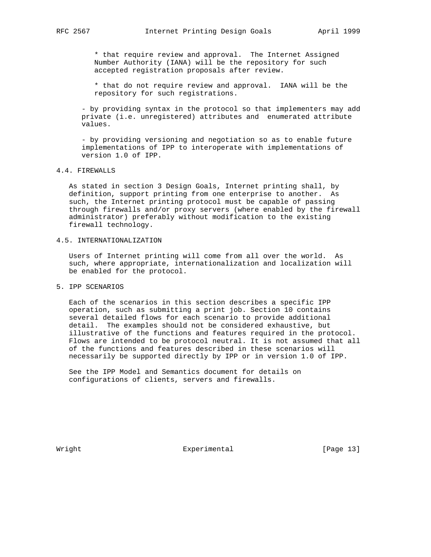\* that require review and approval. The Internet Assigned Number Authority (IANA) will be the repository for such accepted registration proposals after review.

 \* that do not require review and approval. IANA will be the repository for such registrations.

 - by providing syntax in the protocol so that implementers may add private (i.e. unregistered) attributes and enumerated attribute values.

 - by providing versioning and negotiation so as to enable future implementations of IPP to interoperate with implementations of version 1.0 of IPP.

## 4.4. FIREWALLS

 As stated in section 3 Design Goals, Internet printing shall, by definition, support printing from one enterprise to another. As such, the Internet printing protocol must be capable of passing through firewalls and/or proxy servers (where enabled by the firewall administrator) preferably without modification to the existing firewall technology.

## 4.5. INTERNATIONALIZATION

 Users of Internet printing will come from all over the world. As such, where appropriate, internationalization and localization will be enabled for the protocol.

## 5. IPP SCENARIOS

 Each of the scenarios in this section describes a specific IPP operation, such as submitting a print job. Section 10 contains several detailed flows for each scenario to provide additional detail. The examples should not be considered exhaustive, but illustrative of the functions and features required in the protocol. Flows are intended to be protocol neutral. It is not assumed that all of the functions and features described in these scenarios will necessarily be supported directly by IPP or in version 1.0 of IPP.

 See the IPP Model and Semantics document for details on configurations of clients, servers and firewalls.

Wright **Experimental** Experimental [Page 13]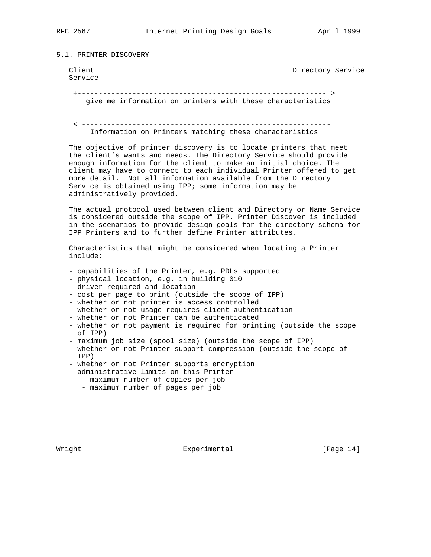5.1. PRINTER DISCOVERY

```
 Service
```
Client Client Client Client Client Directory Service

 +----------------------------------------------------------- > give me information on printers with these characteristics

 < -----------------------------------------------------------+ Information on Printers matching these characteristics

 The objective of printer discovery is to locate printers that meet the client's wants and needs. The Directory Service should provide enough information for the client to make an initial choice. The client may have to connect to each individual Printer offered to get more detail. Not all information available from the Directory Service is obtained using IPP; some information may be administratively provided.

 The actual protocol used between client and Directory or Name Service is considered outside the scope of IPP. Printer Discover is included in the scenarios to provide design goals for the directory schema for IPP Printers and to further define Printer attributes.

 Characteristics that might be considered when locating a Printer include:

- capabilities of the Printer, e.g. PDLs supported
- physical location, e.g. in building 010
- driver required and location
- cost per page to print (outside the scope of IPP)
- whether or not printer is access controlled
- whether or not usage requires client authentication
- whether or not Printer can be authenticated
- whether or not payment is required for printing (outside the scope of IPP)
- maximum job size (spool size) (outside the scope of IPP)
- whether or not Printer support compression (outside the scope of IPP)
- whether or not Printer supports encryption
- administrative limits on this Printer
	- maximum number of copies per job
	- maximum number of pages per job

Wright **Experimental** Experimental [Page 14]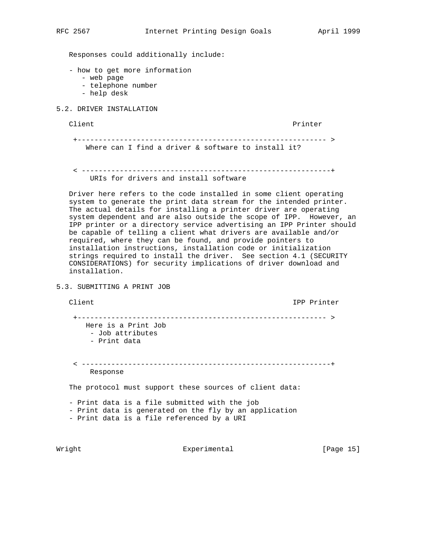Responses could additionally include:

- how to get more information
	- web page
	- telephone number
	- help desk
- 5.2. DRIVER INSTALLATION

Client Printer

 +----------------------------------------------------------- > Where can I find a driver & software to install it?

 < -----------------------------------------------------------+ URIs for drivers and install software

 Driver here refers to the code installed in some client operating system to generate the print data stream for the intended printer. The actual details for installing a printer driver are operating system dependent and are also outside the scope of IPP. However, an IPP printer or a directory service advertising an IPP Printer should be capable of telling a client what drivers are available and/or required, where they can be found, and provide pointers to installation instructions, installation code or initialization strings required to install the driver. See section 4.1 (SECURITY CONSIDERATIONS) for security implications of driver download and installation.

5.3. SUBMITTING A PRINT JOB

Client **IPP** Printer

 +----------------------------------------------------------- > Here is a Print Job - Job attributes - Print data < -----------------------------------------------------------+ Response

The protocol must support these sources of client data:

 - Print data is a file submitted with the job - Print data is generated on the fly by an application - Print data is a file referenced by a URI

Wright **Experimental** Experimental [Page 15]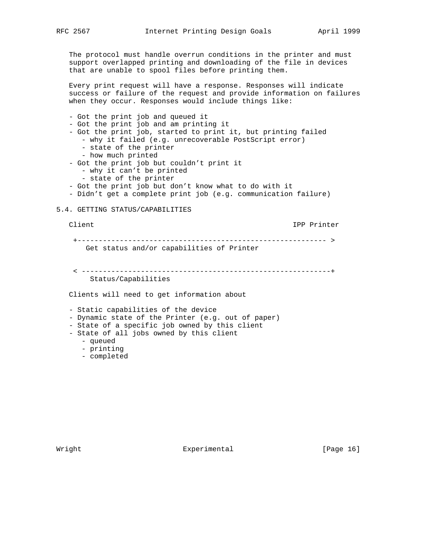The protocol must handle overrun conditions in the printer and must support overlapped printing and downloading of the file in devices that are unable to spool files before printing them.

 Every print request will have a response. Responses will indicate success or failure of the request and provide information on failures when they occur. Responses would include things like:

- Got the print job and queued it
- Got the print job and am printing it
- Got the print job, started to print it, but printing failed
	- why it failed (e.g. unrecoverable PostScript error)
	- state of the printer
	- how much printed
- Got the print job but couldn't print it
	- why it can't be printed
	- state of the printer
- Got the print job but don't know what to do with it
- Didn't get a complete print job (e.g. communication failure)

### 5.4. GETTING STATUS/CAPABILITIES

Client IPP Printer

 +----------------------------------------------------------- > Get status and/or capabilities of Printer

 < -----------------------------------------------------------+ Status/Capabilities

Clients will need to get information about

- Static capabilities of the device

- Dynamic state of the Printer (e.g. out of paper)
- State of a specific job owned by this client
- State of all jobs owned by this client
	- queued
	- printing
	- completed

Wright **Experimental** Experimental [Page 16]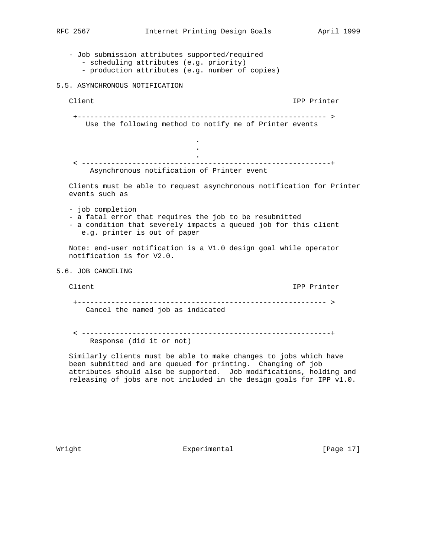- Job submission attributes supported/required - scheduling attributes (e.g. priority) - production attributes (e.g. number of copies) 5.5. ASYNCHRONOUS NOTIFICATION Client IPP Printer +----------------------------------------------------------- > Use the following method to notify me of Printer events . **.** The contract of the contract of the contract of the contract of the contract of the contract of the contract of **.** The contract of the contract of the contract of the contract of the contract of the contract of the contract of < -----------------------------------------------------------+ Asynchronous notification of Printer event Clients must be able to request asynchronous notification for Printer events such as - job completion - a fatal error that requires the job to be resubmitted - a condition that severely impacts a queued job for this client e.g. printer is out of paper Note: end-user notification is a V1.0 design goal while operator notification is for V2.0. 5.6. JOB CANCELING Client IPP Printer +----------------------------------------------------------- > Cancel the named job as indicated

 < -----------------------------------------------------------+ Response (did it or not)

 Similarly clients must be able to make changes to jobs which have been submitted and are queued for printing. Changing of job attributes should also be supported. Job modifications, holding and releasing of jobs are not included in the design goals for IPP v1.0.

Wright **Experimental** Experimental [Page 17]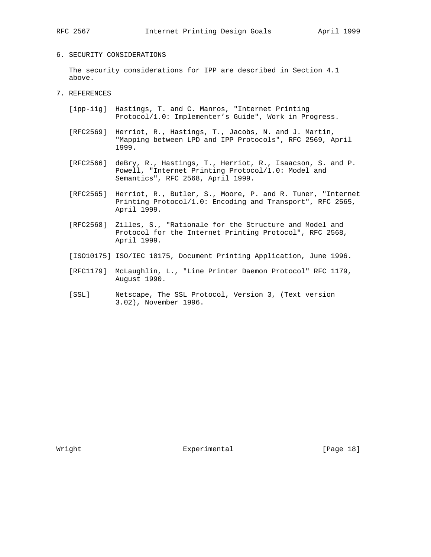## 6. SECURITY CONSIDERATIONS

 The security considerations for IPP are described in Section 4.1 above.

# 7. REFERENCES

- [ipp-iig] Hastings, T. and C. Manros, "Internet Printing Protocol/1.0: Implementer's Guide", Work in Progress.
- [RFC2569] Herriot, R., Hastings, T., Jacobs, N. and J. Martin, "Mapping between LPD and IPP Protocols", RFC 2569, April 1999.
- [RFC2566] deBry, R., Hastings, T., Herriot, R., Isaacson, S. and P. Powell, "Internet Printing Protocol/1.0: Model and Semantics", RFC 2568, April 1999.
- [RFC2565] Herriot, R., Butler, S., Moore, P. and R. Tuner, "Internet Printing Protocol/1.0: Encoding and Transport", RFC 2565, April 1999.
- [RFC2568] Zilles, S., "Rationale for the Structure and Model and Protocol for the Internet Printing Protocol", RFC 2568, April 1999.
- [ISO10175] ISO/IEC 10175, Document Printing Application, June 1996.
- [RFC1179] McLaughlin, L., "Line Printer Daemon Protocol" RFC 1179, August 1990.
- [SSL] Netscape, The SSL Protocol, Version 3, (Text version 3.02), November 1996.

Wright **Experimental** Experimental [Page 18]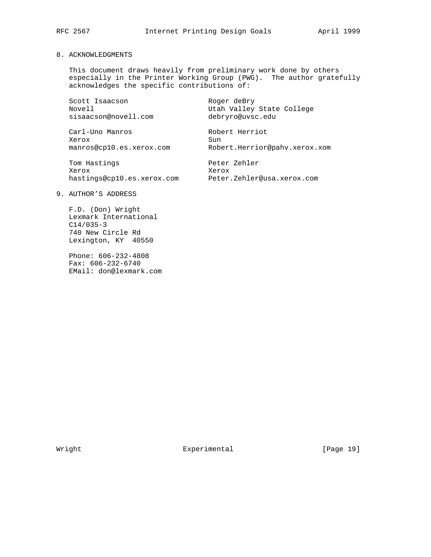## 8. ACKNOWLEDGMENTS

 This document draws heavily from preliminary work done by others especially in the Printer Working Group (PWG). The author gratefully acknowledges the specific contributions of:

Scott Isaacson Roger deBry Novell Utah Valley State College sisaacson@novell.com debryro@uvsc.edu

Carl-Uno Manros **Robert Herriot** Xerox Sun manros@cp10.es.xerox.com Robert.Herrior@pahv.xerox.xom

Tom Hastings extending the Peter Zehler Xerox Xerox

hastings@cp10.es.xerox.com Peter.Zehler@usa.xerox.com

# 9. AUTHOR'S ADDRESS

 F.D. (Don) Wright Lexmark International C14/035-3 740 New Circle Rd Lexington, KY 40550

 Phone: 606-232-4808 Fax: 606-232-6740 EMail: don@lexmark.com

Wright **Experimental** Experimental [Page 19]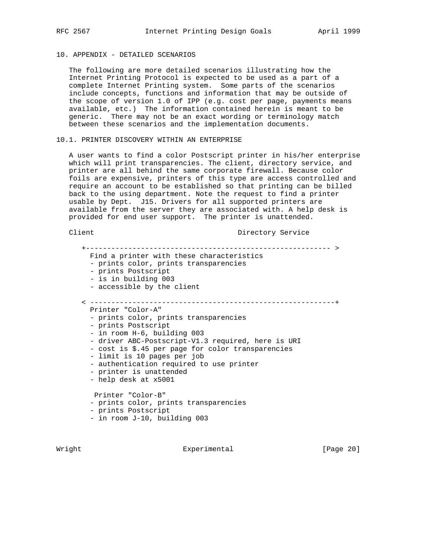# 10. APPENDIX - DETAILED SCENARIOS

 The following are more detailed scenarios illustrating how the Internet Printing Protocol is expected to be used as a part of a complete Internet Printing system. Some parts of the scenarios include concepts, functions and information that may be outside of the scope of version 1.0 of IPP (e.g. cost per page, payments means available, etc.) The information contained herein is meant to be generic. There may not be an exact wording or terminology match between these scenarios and the implementation documents.

### 10.1. PRINTER DISCOVERY WITHIN AN ENTERPRISE

 A user wants to find a color Postscript printer in his/her enterprise which will print transparencies. The client, directory service, and printer are all behind the same corporate firewall. Because color foils are expensive, printers of this type are access controlled and require an account to be established so that printing can be billed back to the using department. Note the request to find a printer usable by Dept. J15. Drivers for all supported printers are available from the server they are associated with. A help desk is provided for end user support. The printer is unattended.

## Client Client Directory Service

 +---------------------------------------------------------- > Find a printer with these characteristics - prints color, prints transparencies - prints Postscript - is in building 003 - accessible by the client < ----------------------------------------------------------+ Printer "Color-A" - prints color, prints transparencies - prints Postscript - in room H-6, building 003 - driver ABC-Postscript-V1.3 required, here is URI - cost is \$.45 per page for color transparencies - limit is 10 pages per job - authentication required to use printer - printer is unattended - help desk at x5001 Printer "Color-B" - prints color, prints transparencies - prints Postscript - in room J-10, building 003

Wright **Experimental** Experimental [Page 20]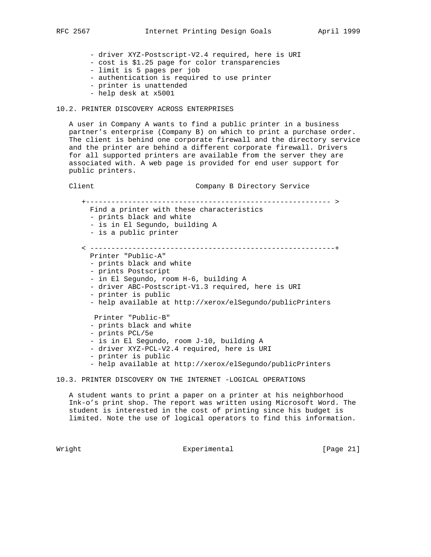- driver XYZ-Postscript-V2.4 required, here is URI

- cost is \$1.25 page for color transparencies
- limit is 5 pages per job
- authentication is required to use printer
- printer is unattended
- help desk at x5001

### 10.2. PRINTER DISCOVERY ACROSS ENTERPRISES

 A user in Company A wants to find a public printer in a business partner's enterprise (Company B) on which to print a purchase order. The client is behind one corporate firewall and the directory service and the printer are behind a different corporate firewall. Drivers for all supported printers are available from the server they are associated with. A web page is provided for end user support for public printers.

Client Company B Directory Service

 +---------------------------------------------------------- > Find a printer with these characteristics - prints black and white - is in El Segundo, building A - is a public printer < ----------------------------------------------------------+ Printer "Public-A" - prints black and white - prints Postscript - in El Segundo, room H-6, building A - driver ABC-Postscript-V1.3 required, here is URI - printer is public - help available at http://xerox/elSegundo/publicPrinters Printer "Public-B" - prints black and white - prints PCL/5e - is in El Segundo, room J-10, building A - driver XYZ-PCL-V2.4 required, here is URI - printer is public - help available at http://xerox/elSegundo/publicPrinters

10.3. PRINTER DISCOVERY ON THE INTERNET -LOGICAL OPERATIONS

 A student wants to print a paper on a printer at his neighborhood Ink-o's print shop. The report was written using Microsoft Word. The student is interested in the cost of printing since his budget is limited. Note the use of logical operators to find this information.

Wright **Experimental** Experimental [Page 21]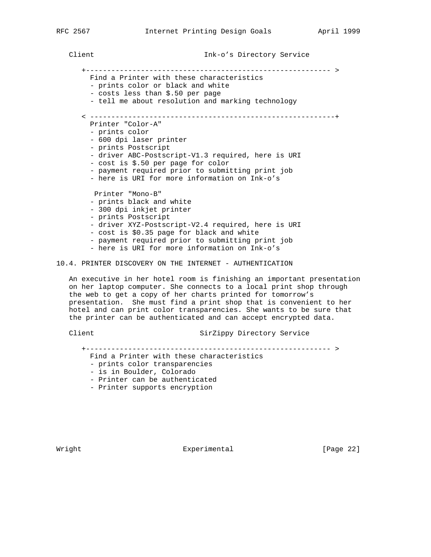+---------------------------------------------------------- >

- Find a Printer with these characteristics - prints color or black and white
- costs less than \$.50 per page
- tell me about resolution and marking technology
- < ----------------------------------------------------------+
	- Printer "Color-A"
	- prints color
	- 600 dpi laser printer
	- prints Postscript
	- driver ABC-Postscript-V1.3 required, here is URI
	- cost is \$.50 per page for color
	- payment required prior to submitting print job
	- here is URI for more information on Ink-o's

Printer "Mono-B"

- prints black and white
- 300 dpi inkjet printer
- prints Postscript
- driver XYZ-Postscript-V2.4 required, here is URI
- cost is \$0.35 page for black and white
- payment required prior to submitting print job
- here is URI for more information on Ink-o's

### 10.4. PRINTER DISCOVERY ON THE INTERNET - AUTHENTICATION

 An executive in her hotel room is finishing an important presentation on her laptop computer. She connects to a local print shop through the web to get a copy of her charts printed for tomorrow's presentation. She must find a print shop that is convenient to her hotel and can print color transparencies. She wants to be sure that the printer can be authenticated and can accept encrypted data.

Client Client SirZippy Directory Service

+---------------------------------------------------------- >

- Find a Printer with these characteristics
- prints color transparencies
- is in Boulder, Colorado
- Printer can be authenticated
- Printer supports encryption

Wright **Experimental** Experimental [Page 22]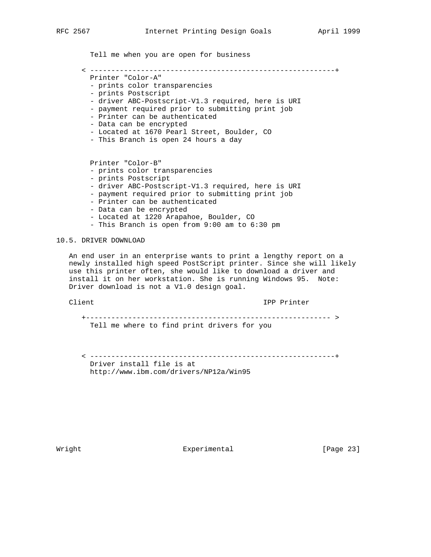Tell me when you are open for business

< ----------------------------------------------------------+

- Printer "Color-A"
- prints color transparencies
- prints Postscript
- driver ABC-Postscript-V1.3 required, here is URI
- payment required prior to submitting print job
- Printer can be authenticated
- Data can be encrypted
- Located at 1670 Pearl Street, Boulder, CO
- This Branch is open 24 hours a day

Printer "Color-B"

- prints color transparencies
- prints Postscript
- driver ABC-Postscript-V1.3 required, here is URI
- payment required prior to submitting print job
- Printer can be authenticated
- Data can be encrypted
- Located at 1220 Arapahoe, Boulder, CO
- This Branch is open from 9:00 am to 6:30 pm

## 10.5. DRIVER DOWNLOAD

 An end user in an enterprise wants to print a lengthy report on a newly installed high speed PostScript printer. Since she will likely use this printer often, she would like to download a driver and install it on her workstation. She is running Windows 95. Note: Driver download is not a V1.0 design goal.

Client IPP Printer

 +---------------------------------------------------------- > Tell me where to find print drivers for you

 < ----------------------------------------------------------+ Driver install file is at http://www.ibm.com/drivers/NP12a/Win95

Wright **Experimental** Experimental [Page 23]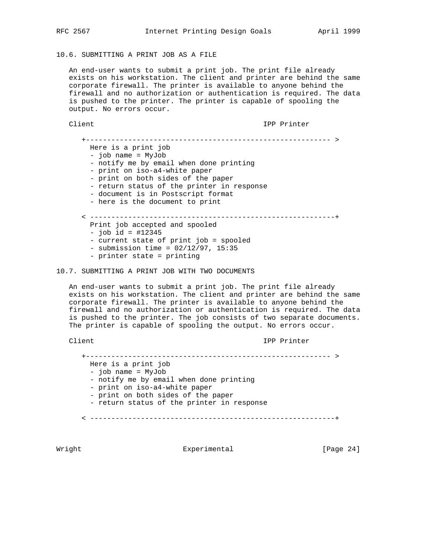# 10.6. SUBMITTING A PRINT JOB AS A FILE

 An end-user wants to submit a print job. The print file already exists on his workstation. The client and printer are behind the same corporate firewall. The printer is available to anyone behind the firewall and no authorization or authentication is required. The data is pushed to the printer. The printer is capable of spooling the output. No errors occur.

Client IPP Printer

 +---------------------------------------------------------- > Here is a print job - job name = MyJob - notify me by email when done printing - print on iso-a4-white paper - print on both sides of the paper - return status of the printer in response - document is in Postscript format - here is the document to print < ----------------------------------------------------------+ Print job accepted and spooled  $-$  job id = #12345 - current state of print job = spooled - submission time = 02/12/97, 15:35 - printer state = printing

10.7. SUBMITTING A PRINT JOB WITH TWO DOCUMENTS

 An end-user wants to submit a print job. The print file already exists on his workstation. The client and printer are behind the same corporate firewall. The printer is available to anyone behind the firewall and no authorization or authentication is required. The data is pushed to the printer. The job consists of two separate documents. The printer is capable of spooling the output. No errors occur.

Client IPP Printer

 +---------------------------------------------------------- > Here is a print job - job name = MyJob - notify me by email when done printing - print on iso-a4-white paper - print on both sides of the paper - return status of the printer in response < ----------------------------------------------------------+

Wright **Experimental** Experimental [Page 24]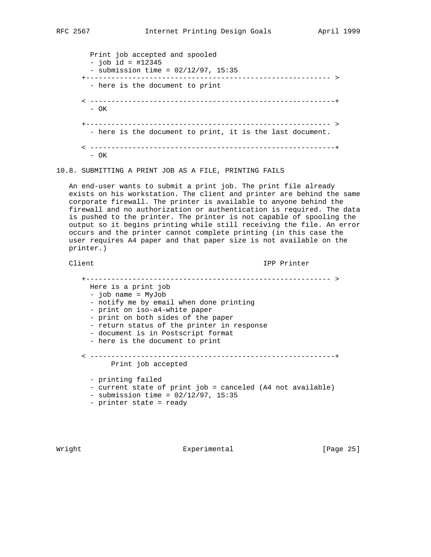Print job accepted and spooled - job id = #12345 - submission time = 02/12/97, 15:35 +---------------------------------------------------------- > - here is the document to print < ----------------------------------------------------------+ - OK +---------------------------------------------------------- > - here is the document to print, it is the last document. < ----------------------------------------------------------+ - OK

10.8. SUBMITTING A PRINT JOB AS A FILE, PRINTING FAILS

 An end-user wants to submit a print job. The print file already exists on his workstation. The client and printer are behind the same corporate firewall. The printer is available to anyone behind the firewall and no authorization or authentication is required. The data is pushed to the printer. The printer is not capable of spooling the output so it begins printing while still receiving the file. An error occurs and the printer cannot complete printing (in this case the user requires A4 paper and that paper size is not available on the printer.)

Client **IPP** Printer

| ____________________________________                                                                                                                                                                                                            |
|-------------------------------------------------------------------------------------------------------------------------------------------------------------------------------------------------------------------------------------------------|
| Here is a print job<br>- job name = MyJob<br>- notify me by email when done printing<br>- print on iso-a4-white paper<br>- print on both sides of the paper<br>- return status of the printer in response<br>- document is in Postscript format |
| - here is the document to print                                                                                                                                                                                                                 |
| __________________________________<br>Print job accepted                                                                                                                                                                                        |
| - printing failed<br>- current state of print job = canceled (A4 not available)<br>- submission time = $02/12/97$ , 15:35<br>- printer state = ready                                                                                            |

Wright **Experimental** Experimental [Page 25]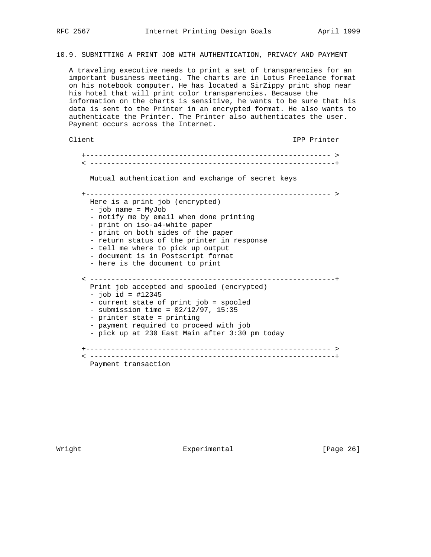10.9. SUBMITTING A PRINT JOB WITH AUTHENTICATION, PRIVACY AND PAYMENT

 A traveling executive needs to print a set of transparencies for an important business meeting. The charts are in Lotus Freelance format on his notebook computer. He has located a SirZippy print shop near his hotel that will print color transparencies. Because the information on the charts is sensitive, he wants to be sure that his data is sent to the Printer in an encrypted format. He also wants to authenticate the Printer. The Printer also authenticates the user. Payment occurs across the Internet.

Client IPP Printer

 +---------------------------------------------------------- > < ----------------------------------------------------------+ Mutual authentication and exchange of secret keys +---------------------------------------------------------- > Here is a print job (encrypted) - job name = MyJob - notify me by email when done printing - print on iso-a4-white paper - print on both sides of the paper - return status of the printer in response - tell me where to pick up output - document is in Postscript format - here is the document to print < ----------------------------------------------------------+ Print job accepted and spooled (encrypted) - job id = #12345 - current state of print job = spooled - submission time =  $02/12/97$ , 15:35 - printer state = printing - payment required to proceed with job - pick up at 230 East Main after 3:30 pm today +---------------------------------------------------------- > < ----------------------------------------------------------+ Payment transaction

Wright **Experimental** Experimental [Page 26]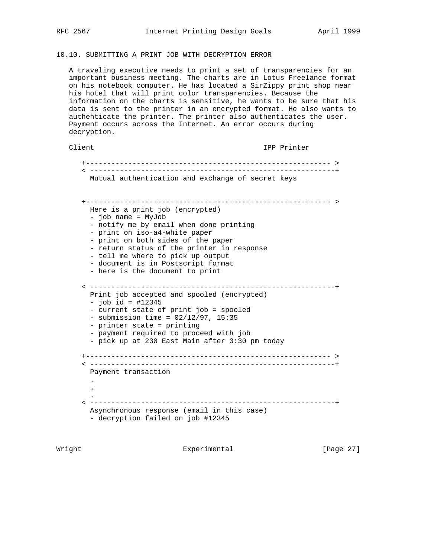# 10.10. SUBMITTING A PRINT JOB WITH DECRYPTION ERROR

 A traveling executive needs to print a set of transparencies for an important business meeting. The charts are in Lotus Freelance format on his notebook computer. He has located a SirZippy print shop near his hotel that will print color transparencies. Because the information on the charts is sensitive, he wants to be sure that his data is sent to the printer in an encrypted format. He also wants to authenticate the printer. The printer also authenticates the user. Payment occurs across the Internet. An error occurs during decryption.

# Client IPP Printer

 +---------------------------------------------------------- > < ----------------------------------------------------------+ Mutual authentication and exchange of secret keys +---------------------------------------------------------- > Here is a print job (encrypted) - job name = MyJob - notify me by email when done printing - print on iso-a4-white paper - print on both sides of the paper - return status of the printer in response - tell me where to pick up output - document is in Postscript format - here is the document to print < ----------------------------------------------------------+ Print job accepted and spooled (encrypted)  $-$  job id = #12345 - current state of print job = spooled - submission time =  $02/12/97$ , 15:35 - printer state = printing - payment required to proceed with job - pick up at 230 East Main after 3:30 pm today +---------------------------------------------------------- > < ----------------------------------------------------------+ Payment transaction . . . < ----------------------------------------------------------+ Asynchronous response (email in this case) - decryption failed on job #12345

Wright **Experimental** Experimental [Page 27]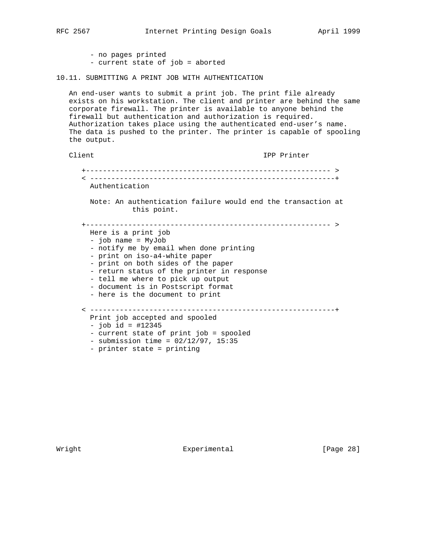- no pages printed - current state of job = aborted
- 10.11. SUBMITTING A PRINT JOB WITH AUTHENTICATION

 An end-user wants to submit a print job. The print file already exists on his workstation. The client and printer are behind the same corporate firewall. The printer is available to anyone behind the firewall but authentication and authorization is required. Authorization takes place using the authenticated end-user's name. The data is pushed to the printer. The printer is capable of spooling the output.

```
Client IPP Printer
    +---------------------------------------------------------- >
    < ----------------------------------------------------------+
     Authentication
     Note: An authentication failure would end the transaction at
               this point.
    +---------------------------------------------------------- >
     Here is a print job
      - job name = MyJob
      - notify me by email when done printing
      - print on iso-a4-white paper
      - print on both sides of the paper
      - return status of the printer in response
      - tell me where to pick up output
      - document is in Postscript format
      - here is the document to print
    < ----------------------------------------------------------+
     Print job accepted and spooled
     - job id = #12345
      - current state of print job = spooled
     - submission time = 02/12/97, 15:35
      - printer state = printing
```
Wright **Experimental** Experimental [Page 28]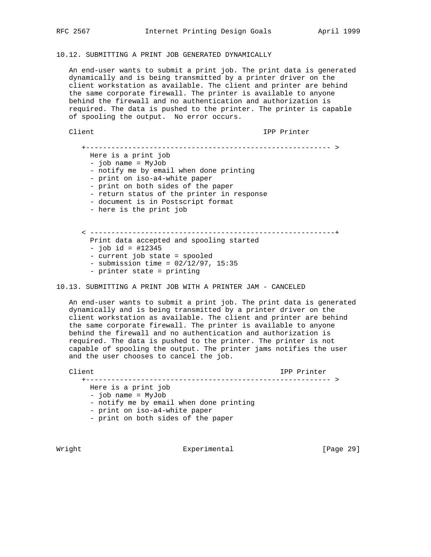# 10.12. SUBMITTING A PRINT JOB GENERATED DYNAMICALLY

 An end-user wants to submit a print job. The print data is generated dynamically and is being transmitted by a printer driver on the client workstation as available. The client and printer are behind the same corporate firewall. The printer is available to anyone behind the firewall and no authentication and authorization is required. The data is pushed to the printer. The printer is capable of spooling the output. No error occurs.

Client **IPP** Printer

 +---------------------------------------------------------- > Here is a print job - job name = MyJob - notify me by email when done printing - print on iso-a4-white paper - print on both sides of the paper - return status of the printer in response - document is in Postscript format - here is the print job < ----------------------------------------------------------+ Print data accepted and spooling started - job id = #12345 - current job state = spooled  $-$  submission time =  $02/12/97$ , 15:35 - printer state = printing

10.13. SUBMITTING A PRINT JOB WITH A PRINTER JAM - CANCELED

 An end-user wants to submit a print job. The print data is generated dynamically and is being transmitted by a printer driver on the client workstation as available. The client and printer are behind the same corporate firewall. The printer is available to anyone behind the firewall and no authentication and authorization is required. The data is pushed to the printer. The printer is not capable of spooling the output. The printer jams notifies the user and the user chooses to cancel the job.

 Client IPP Printer +---------------------------------------------------------- > Here is a print job - job name = MyJob - notify me by email when done printing - print on iso-a4-white paper

- print on both sides of the paper

Wright **Experimental** Experimental [Page 29]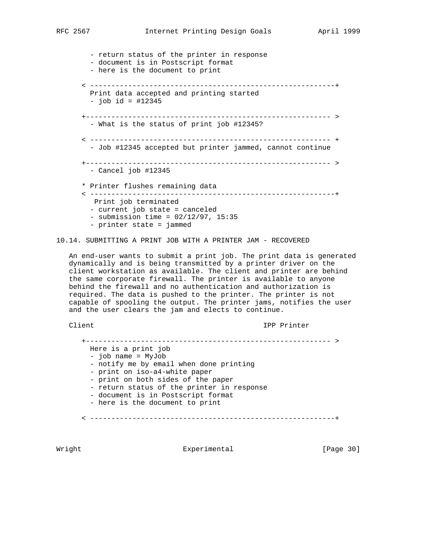- return status of the printer in response - document is in Postscript format - here is the document to print < ----------------------------------------------------------+ Print data accepted and printing started - job id = #12345 +---------------------------------------------------------- > - What is the status of print job #12345? < --------------------------------------------------------- + - Job #12345 accepted but printer jammed, cannot continue +---------------------------------------------------------- > - Cancel job #12345 \* Printer flushes remaining data < ----------------------------------------------------------+ Print job terminated - current job state = canceled - submission time = 02/12/97, 15:35 - printer state = jammed

## 10.14. SUBMITTING A PRINT JOB WITH A PRINTER JAM - RECOVERED

 An end-user wants to submit a print job. The print data is generated dynamically and is being transmitted by a printer driver on the client workstation as available. The client and printer are behind the same corporate firewall. The printer is available to anyone behind the firewall and no authentication and authorization is required. The data is pushed to the printer. The printer is not capable of spooling the output. The printer jams, notifies the user and the user clears the jam and elects to continue.

Client IPP Printer

 +---------------------------------------------------------- > Here is a print job - job name = MyJob - notify me by email when done printing - print on iso-a4-white paper - print on both sides of the paper - return status of the printer in response - document is in Postscript format - here is the document to print < ----------------------------------------------------------+

Wright **Experimental** Experimental [Page 30]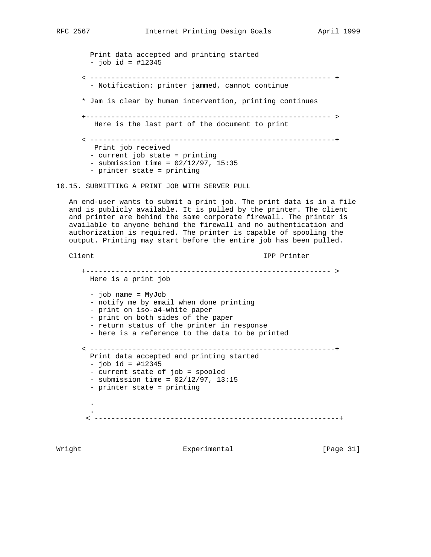```
 Print data accepted and printing started
        - job id = #12345
       < --------------------------------------------------------- +
         - Notification: printer jammed, cannot continue
       * Jam is clear by human intervention, printing continues
      +---------------------------------------------------------- >
         Here is the last part of the document to print
       < ----------------------------------------------------------+
         Print job received
        - current job state = printing
       - submission time = 02/12/97, 15:35
        - printer state = printing
10.15. SUBMITTING A PRINT JOB WITH SERVER PULL
   An end-user wants to submit a print job. The print data is in a file
   and is publicly available. It is pulled by the printer. The client
   and printer are behind the same corporate firewall. The printer is
   available to anyone behind the firewall and no authentication and
   authorization is required. The printer is capable of spooling the
   output. Printing may start before the entire job has been pulled.
  Client IPP Printer
       +---------------------------------------------------------- >
        Here is a print job
        - job name = MyJob
        - notify me by email when done printing
        - print on iso-a4-white paper
        - print on both sides of the paper
        - return status of the printer in response
         - here is a reference to the data to be printed
       < ----------------------------------------------------------+
        Print data accepted and printing started
        - job id = #12345
        - current state of job = spooled
        - submission time = 02/12/97, 13:15
        - printer state = printing
 .
 .
        < ----------------------------------------------------------+
```
Wright **Experimental** Experimental [Page 31]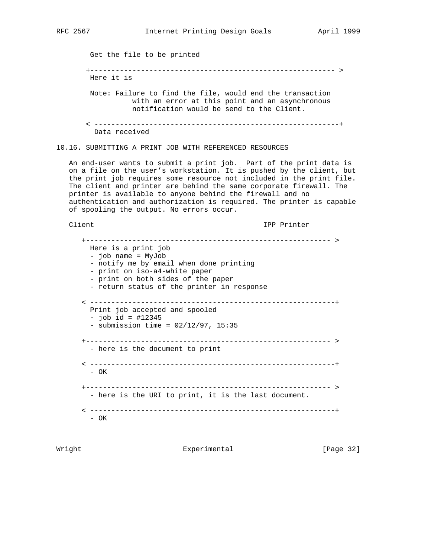Get the file to be printed +---------------------------------------------------------- > Here it is Note: Failure to find the file, would end the transaction with an error at this point and an asynchronous notification would be send to the Client. < ----------------------------------------------------------+ Data received 10.16. SUBMITTING A PRINT JOB WITH REFERENCED RESOURCES An end-user wants to submit a print job. Part of the print data is on a file on the user's workstation. It is pushed by the client, but the print job requires some resource not included in the print file. The client and printer are behind the same corporate firewall. The printer is available to anyone behind the firewall and no authentication and authorization is required. The printer is capable of spooling the output. No errors occur. Client **IPP** Printer +---------------------------------------------------------- > Here is a print job - job name = MyJob - notify me by email when done printing - print on iso-a4-white paper - print on both sides of the paper - return status of the printer in response < ----------------------------------------------------------+ Print job accepted and spooled  $-$  job id = #12345

- OK

- OK

Wright **Experimental** Experimental [Page 32]

+---------------------------------------------------------- >

< ----------------------------------------------------------+

 +---------------------------------------------------------- > - here is the URI to print, it is the last document.

< ----------------------------------------------------------+

 $-$  submission time =  $02/12/97$ , 15:35

- here is the document to print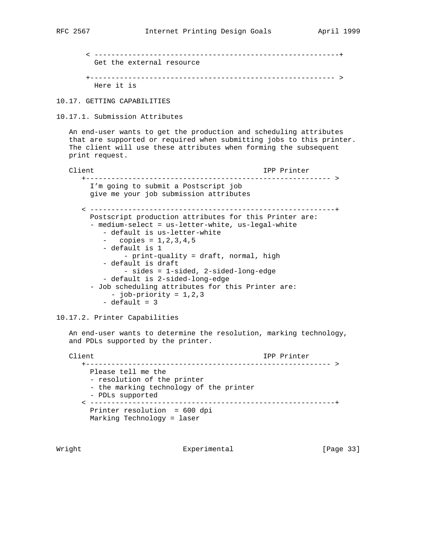```
 < ----------------------------------------------------------+
  Get the external resource
 +---------------------------------------------------------- >
  Here it is
```
10.17. GETTING CAPABILITIES

10.17.1. Submission Attributes

 An end-user wants to get the production and scheduling attributes that are supported or required when submitting jobs to this printer. The client will use these attributes when forming the subsequent print request.

```
Client Client Client Client Client Client Client Client Client Client Client Client Client Client Client Client
    +---------------------------------------------------------- >
      I'm going to submit a Postscript job
      give me your job submission attributes
    < ----------------------------------------------------------+
      Postscript production attributes for this Printer are:
       - medium-select = us-letter-white, us-legal-white
          - default is us-letter-white
          Copies = 1, 2, 3, 4, 5 - default is 1
               - print-quality = draft, normal, high
          - default is draft
               - sides = 1-sided, 2-sided-long-edge
          - default is 2-sided-long-edge
       - Job scheduling attributes for this Printer are:
           - job-priority = 1,2,3
         - default = 3
```
10.17.2. Printer Capabilities

 An end-user wants to determine the resolution, marking technology, and PDLs supported by the printer.

```
Client Communications of the Client Client Communications of the IPP Printer
    +---------------------------------------------------------- >
     Please tell me the
      - resolution of the printer
      - the marking technology of the printer
      - PDLs supported
    < ----------------------------------------------------------+
      Printer resolution = 600 dpi
      Marking Technology = laser
```
Wright **Experimental** Experimental [Page 33]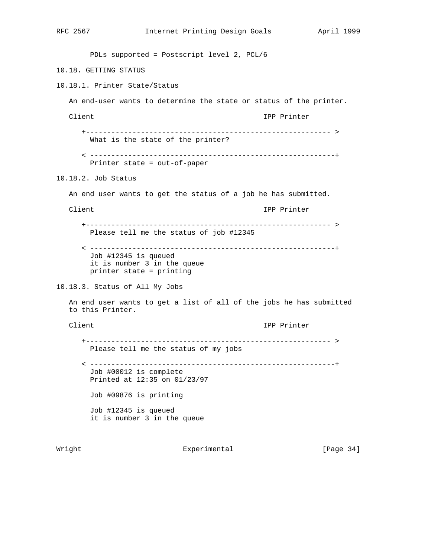```
RFC 2567 Internet Printing Design Goals April 1999
        PDLs supported = Postscript level 2, PCL/6
10.18. GETTING STATUS
10.18.1. Printer State/Status
   An end-user wants to determine the state or status of the printer.
   Client IPP Printer
      +---------------------------------------------------------- >
        What is the state of the printer?
      < ----------------------------------------------------------+
        Printer state = out-of-paper
10.18.2. Job Status
   An end user wants to get the status of a job he has submitted.
   Client IPP Printer
      +---------------------------------------------------------- >
        Please tell me the status of job #12345
      < ----------------------------------------------------------+
        Job #12345 is queued
        it is number 3 in the queue
        printer state = printing
10.18.3. Status of All My Jobs
   An end user wants to get a list of all of the jobs he has submitted
   to this Printer.
   Client IPP Printer
      +---------------------------------------------------------- >
        Please tell me the status of my jobs
      < ----------------------------------------------------------+
        Job #00012 is complete
        Printed at 12:35 on 01/23/97
        Job #09876 is printing
        Job #12345 is queued
        it is number 3 in the queue
```
Wright **Experimental** Experimental [Page 34]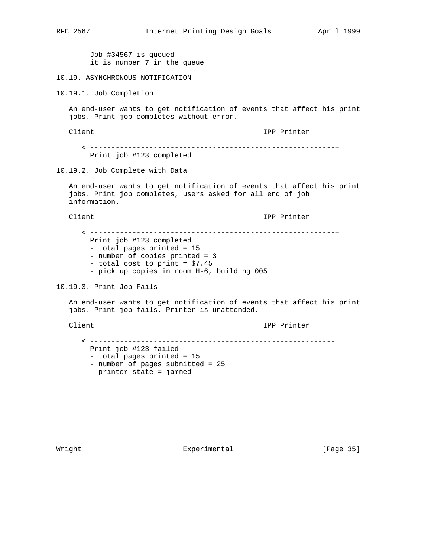Job #34567 is queued it is number 7 in the queue

## 10.19. ASYNCHRONOUS NOTIFICATION

10.19.1. Job Completion

 An end-user wants to get notification of events that affect his print jobs. Print job completes without error.

Client IPP Printer

 < ----------------------------------------------------------+ Print job #123 completed

## 10.19.2. Job Complete with Data

 An end-user wants to get notification of events that affect his print jobs. Print job completes, users asked for all end of job information.

Client **IPP** Printer

 < ----------------------------------------------------------+ Print job #123 completed - total pages printed = 15 - number of copies printed = 3 - total cost to print = \$7.45 - pick up copies in room H-6, building 005

### 10.19.3. Print Job Fails

 An end-user wants to get notification of events that affect his print jobs. Print job fails. Printer is unattended.

Client IPP Printer

 < ----------------------------------------------------------+ Print job #123 failed - total pages printed = 15 - number of pages submitted = 25 - printer-state = jammed

Wright **Experimental** Experimental [Page 35]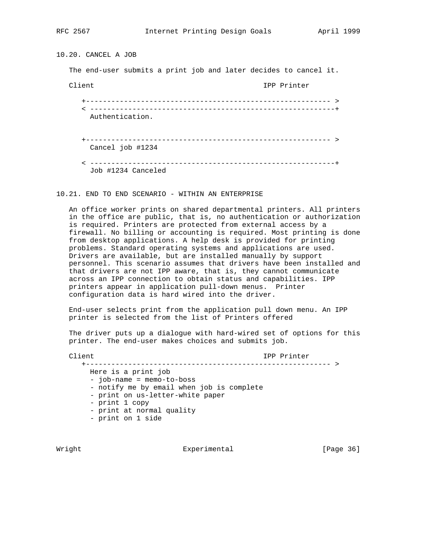10.20. CANCEL A JOB

The end-user submits a print job and later decides to cancel it.

Client IPP Printer

 +---------------------------------------------------------- > < ----------------------------------------------------------+ Authentication. +---------------------------------------------------------- > Cancel job #1234 < ----------------------------------------------------------+

Job #1234 Canceled

10.21. END TO END SCENARIO - WITHIN AN ENTERPRISE

 An office worker prints on shared departmental printers. All printers in the office are public, that is, no authentication or authorization is required. Printers are protected from external access by a firewall. No billing or accounting is required. Most printing is done from desktop applications. A help desk is provided for printing problems. Standard operating systems and applications are used. Drivers are available, but are installed manually by support personnel. This scenario assumes that drivers have been installed and that drivers are not IPP aware, that is, they cannot communicate across an IPP connection to obtain status and capabilities. IPP printers appear in application pull-down menus. Printer configuration data is hard wired into the driver.

 End-user selects print from the application pull down menu. An IPP printer is selected from the list of Printers offered

 The driver puts up a dialogue with hard-wired set of options for this printer. The end-user makes choices and submits job.

Client IPP Printer

 +---------------------------------------------------------- > Here is a print job - job-name = memo-to-boss - notify me by email when job is complete - print on us-letter-white paper - print 1 copy - print at normal quality - print on 1 side

Wright **Experimental** Experimental [Page 36]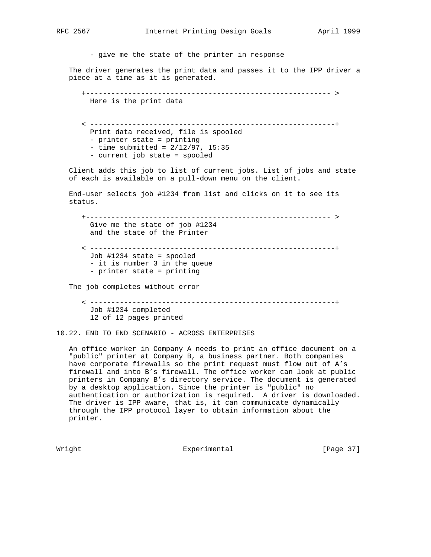- give me the state of the printer in response

 The driver generates the print data and passes it to the IPP driver a piece at a time as it is generated.

 +---------------------------------------------------------- > Here is the print data

 < ----------------------------------------------------------+ Print data received, file is spooled - printer state = printing  $-$  time submitted =  $2/12/97$ , 15:35 - current job state = spooled

 Client adds this job to list of current jobs. List of jobs and state of each is available on a pull-down menu on the client.

 End-user selects job #1234 from list and clicks on it to see its status.

 +---------------------------------------------------------- > Give me the state of job #1234 and the state of the Printer

 < ----------------------------------------------------------+ Job #1234 state = spooled - it is number 3 in the queue - printer state = printing

The job completes without error

 < ----------------------------------------------------------+ Job #1234 completed 12 of 12 pages printed

10.22. END TO END SCENARIO - ACROSS ENTERPRISES

 An office worker in Company A needs to print an office document on a "public" printer at Company B, a business partner. Both companies have corporate firewalls so the print request must flow out of A's firewall and into B's firewall. The office worker can look at public printers in Company B's directory service. The document is generated by a desktop application. Since the printer is "public" no authentication or authorization is required. A driver is downloaded. The driver is IPP aware, that is, it can communicate dynamically through the IPP protocol layer to obtain information about the printer.

Wright **Experimental** Experimental [Page 37]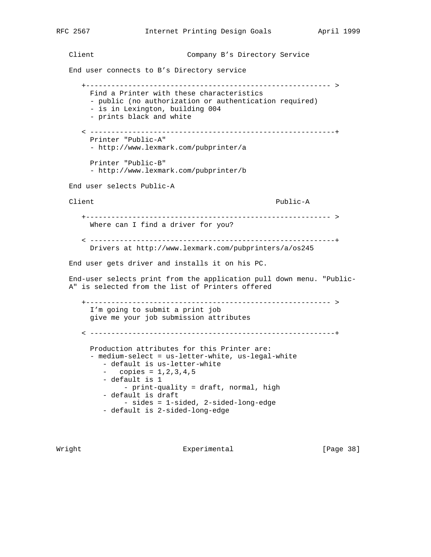Client Company B's Directory Service

End user connects to B's Directory service

 +---------------------------------------------------------- > Find a Printer with these characteristics - public (no authorization or authentication required) - is in Lexington, building 004 - prints black and white < ----------------------------------------------------------+ Printer "Public-A" - http://www.lexmark.com/pubprinter/a Printer "Public-B" - http://www.lexmark.com/pubprinter/b End user selects Public-A Client Public-A +---------------------------------------------------------- > Where can I find a driver for you? < ----------------------------------------------------------+ Drivers at http://www.lexmark.com/pubprinters/a/os245 End user gets driver and installs it on his PC. End-user selects print from the application pull down menu. "Public- A" is selected from the list of Printers offered +---------------------------------------------------------- > I'm going to submit a print job give me your job submission attributes < ----------------------------------------------------------+ Production attributes for this Printer are: - medium-select = us-letter-white, us-legal-white - default is us-letter-white  $-$  copies =  $1, 2, 3, 4, 5$  - default is 1 - print-quality = draft, normal, high - default is draft - sides = 1-sided, 2-sided-long-edge - default is 2-sided-long-edge

Wright **Experimental** Experimental [Page 38]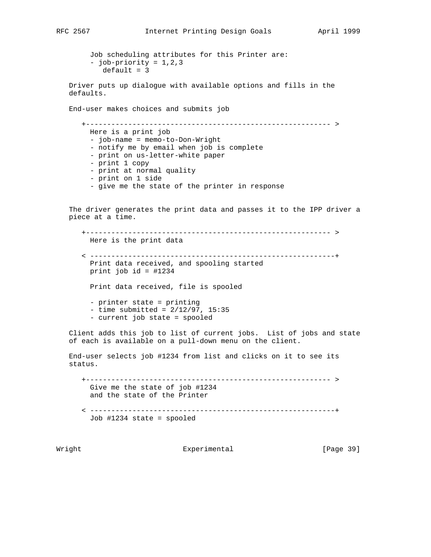Job scheduling attributes for this Printer are: - job-priority = 1,2,3  $default = 3$  Driver puts up dialogue with available options and fills in the defaults. End-user makes choices and submits job +---------------------------------------------------------- > Here is a print job - job-name = memo-to-Don-Wright - notify me by email when job is complete - print on us-letter-white paper - print 1 copy - print at normal quality - print on 1 side - give me the state of the printer in response The driver generates the print data and passes it to the IPP driver a piece at a time. +---------------------------------------------------------- > Here is the print data < ----------------------------------------------------------+ Print data received, and spooling started print job id = #1234 Print data received, file is spooled - printer state = printing  $-$  time submitted =  $2/12/97$ , 15:35 - current job state = spooled Client adds this job to list of current jobs. List of jobs and state of each is available on a pull-down menu on the client. End-user selects job #1234 from list and clicks on it to see its status. +---------------------------------------------------------- > Give me the state of job #1234 and the state of the Printer < ----------------------------------------------------------+ Job #1234 state = spooled

Wright **Experimental** Experimental [Page 39]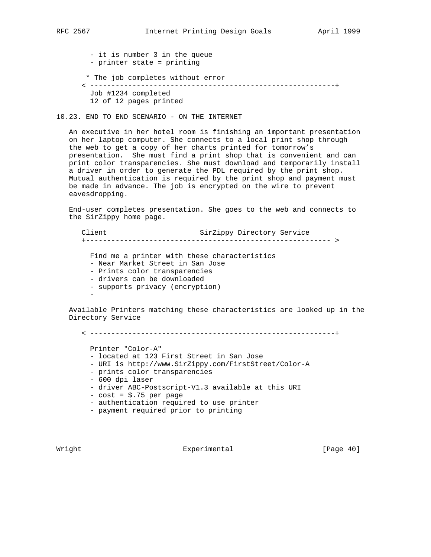- it is number 3 in the queue - printer state = printing \* The job completes without error < ----------------------------------------------------------+ Job #1234 completed 12 of 12 pages printed

10.23. END TO END SCENARIO - ON THE INTERNET

 An executive in her hotel room is finishing an important presentation on her laptop computer. She connects to a local print shop through the web to get a copy of her charts printed for tomorrow's presentation. She must find a print shop that is convenient and can print color transparencies. She must download and temporarily install a driver in order to generate the PDL required by the print shop. Mutual authentication is required by the print shop and payment must be made in advance. The job is encrypted on the wire to prevent eavesdropping.

 End-user completes presentation. She goes to the web and connects to the SirZippy home page.

Client SirZippy Directory Service +---------------------------------------------------------- > Find me a printer with these characteristics - Near Market Street in San Jose - Prints color transparencies - drivers can be downloaded - supports privacy (encryption) - 100 minutes

 Available Printers matching these characteristics are looked up in the Directory Service

< ----------------------------------------------------------+

Printer "Color-A"

- located at 123 First Street in San Jose
- URI is http://www.SirZippy.com/FirstStreet/Color-A
- prints color transparencies
- 600 dpi laser
- driver ABC-Postscript-V1.3 available at this URI
- $-$  cost =  $$.75$  per page
- authentication required to use printer
- payment required prior to printing

Wright **Experimental** Experimental [Page 40]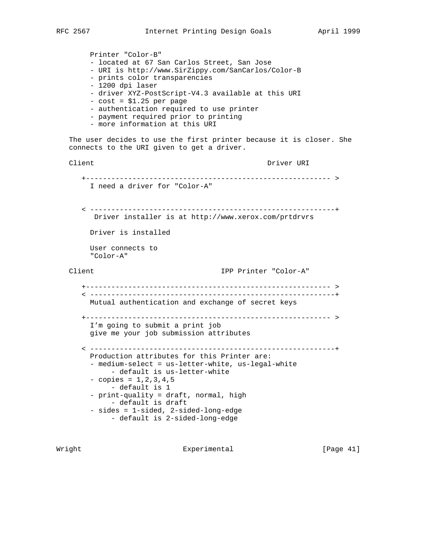```
 Printer "Color-B"
      - located at 67 San Carlos Street, San Jose
      - URI is http://www.SirZippy.com/SanCarlos/Color-B
      - prints color transparencies
      - 1200 dpi laser
      - driver XYZ-PostScript-V4.3 available at this URI
      - cost = $1.25 per page
      - authentication required to use printer
      - payment required prior to printing
      - more information at this URI
 The user decides to use the first printer because it is closer. She
 connects to the URI given to get a driver.
Client Communications of the Driver URI
    +---------------------------------------------------------- >
      I need a driver for "Color-A"
    < ----------------------------------------------------------+
      Driver installer is at http://www.xerox.com/prtdrvrs
      Driver is installed
      User connects to
      "Color-A"
 Client IPP Printer "Color-A"
    +---------------------------------------------------------- >
    < ----------------------------------------------------------+
      Mutual authentication and exchange of secret keys
    +---------------------------------------------------------- >
      I'm going to submit a print job
      give me your job submission attributes
    < ----------------------------------------------------------+
      Production attributes for this Printer are:
      - medium-select = us-letter-white, us-legal-white
          - default is us-letter-white
     - copies = 1,2,3,4,5
           - default is 1
      - print-quality = draft, normal, high
           - default is draft
      - sides = 1-sided, 2-sided-long-edge
          - default is 2-sided-long-edge
```
Wright **Experimental** Experimental [Page 41]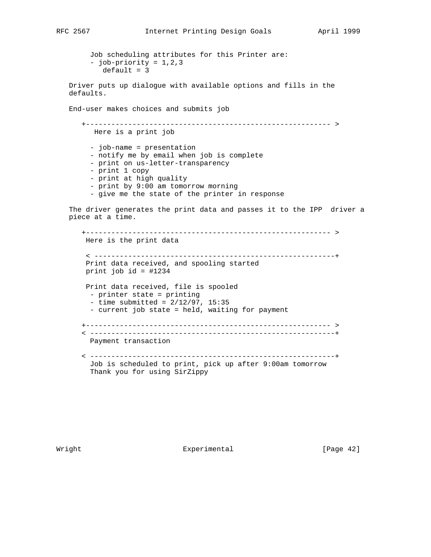Job scheduling attributes for this Printer are: - job-priority = 1,2,3  $default = 3$  Driver puts up dialogue with available options and fills in the defaults. End-user makes choices and submits job +---------------------------------------------------------- > Here is a print job

 - job-name = presentation - notify me by email when job is complete - print on us-letter-transparency - print 1 copy - print at high quality - print by 9:00 am tomorrow morning

- give me the state of the printer in response

 The driver generates the print data and passes it to the IPP driver a piece at a time.

 +---------------------------------------------------------- > Here is the print data < ---------------------------------------------------------+ Print data received, and spooling started print job id = #1234 Print data received, file is spooled - printer state = printing  $-$  time submitted =  $2/12/97$ , 15:35 - current job state = held, waiting for payment +---------------------------------------------------------- > < ----------------------------------------------------------+ Payment transaction < ----------------------------------------------------------+ Job is scheduled to print, pick up after 9:00am tomorrow Thank you for using SirZippy

Wright **Experimental** Experimental [Page 42]